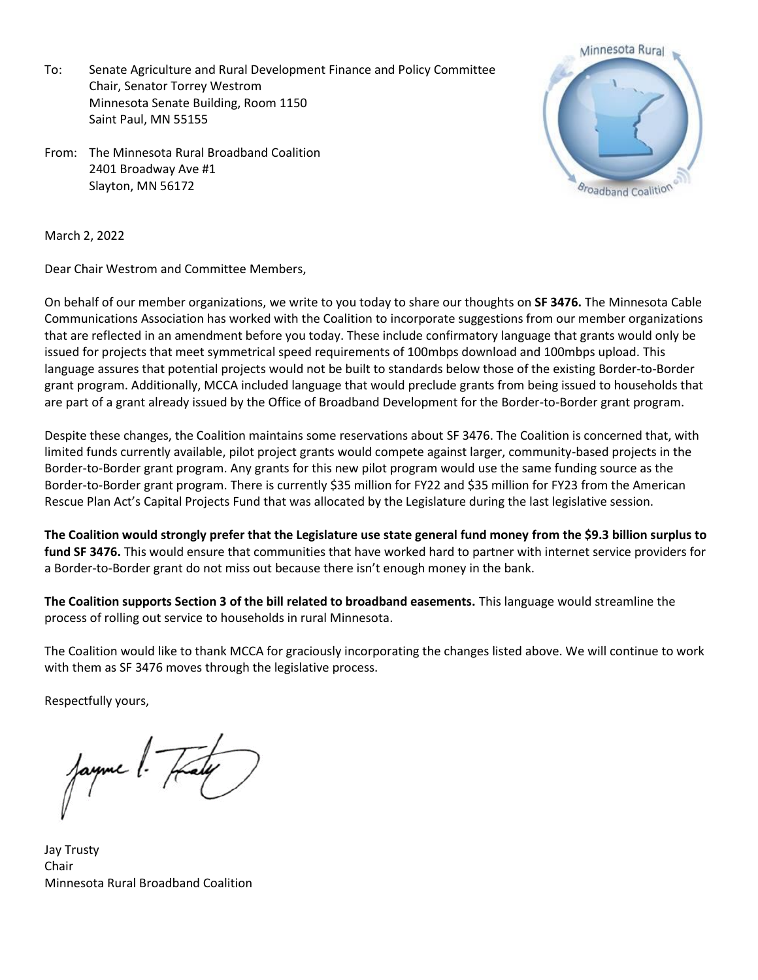To: Senate Agriculture and Rural Development Finance and Policy Committee Chair, Senator Torrey Westrom Minnesota Senate Building, Room 1150 Saint Paul, MN 55155

From: The Minnesota Rural Broadband Coalition 2401 Broadway Ave #1 Slayton, MN 56172



March 2, 2022

Dear Chair Westrom and Committee Members,

On behalf of our member organizations, we write to you today to share our thoughts on **SF 3476.** The Minnesota Cable Communications Association has worked with the Coalition to incorporate suggestions from our member organizations that are reflected in an amendment before you today. These include confirmatory language that grants would only be issued for projects that meet symmetrical speed requirements of 100mbps download and 100mbps upload. This language assures that potential projects would not be built to standards below those of the existing Border-to-Border grant program. Additionally, MCCA included language that would preclude grants from being issued to households that are part of a grant already issued by the Office of Broadband Development for the Border-to-Border grant program.

Despite these changes, the Coalition maintains some reservations about SF 3476. The Coalition is concerned that, with limited funds currently available, pilot project grants would compete against larger, community-based projects in the Border-to-Border grant program. Any grants for this new pilot program would use the same funding source as the Border-to-Border grant program. There is currently \$35 million for FY22 and \$35 million for FY23 from the American Rescue Plan Act's Capital Projects Fund that was allocated by the Legislature during the last legislative session.

**The Coalition would strongly prefer that the Legislature use state general fund money from the \$9.3 billion surplus to fund SF 3476.** This would ensure that communities that have worked hard to partner with internet service providers for a Border-to-Border grant do not miss out because there isn't enough money in the bank.

**The Coalition supports Section 3 of the bill related to broadband easements.** This language would streamline the process of rolling out service to households in rural Minnesota.

The Coalition would like to thank MCCA for graciously incorporating the changes listed above. We will continue to work with them as SF 3476 moves through the legislative process.

Respectfully yours,

ayme [.

Jay Trusty Chair Minnesota Rural Broadband Coalition